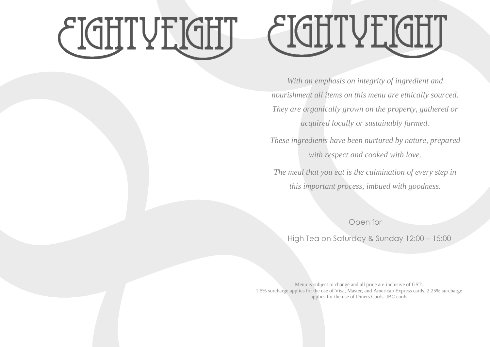## CIGHTYLIGHT



*With an emphasis on integrity of ingredient and nourishment all items on this menu are ethically sourced. They are organically grown on the property, gathered or acquired locally or sustainably farmed.* 

*These ingredients have been nurtured by nature, prepared with respect and cooked with love.*

*The meal that you eat is the culmination of every step in this important process, imbued with goodness.*

Open for

High Tea on Saturday & Sunday 12:00 – 15:00

Menu is subject to change and all price are inclusive of GST. 1.5% surcharge applies for the use of Visa, Master, and American Express cards, 2.25% surcharge applies for the use of Diners Cards, JBC cards